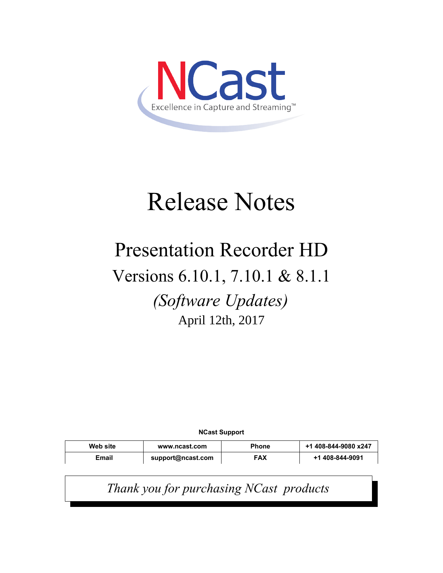

# Release Notes

# Presentation Recorder HD

# Versions 6.10.1, 7.10.1 & 8.1.1

*(Software Updates)* April 12th, 2017

**NCast Support**

| Web site | www.ncast.com     | <b>Phone</b> | +1 408-844-9080 x247 |
|----------|-------------------|--------------|----------------------|
| Email    | support@ncast.com | <b>FAX</b>   | +1 408-844-9091      |

*Thank you for purchasing NCast products*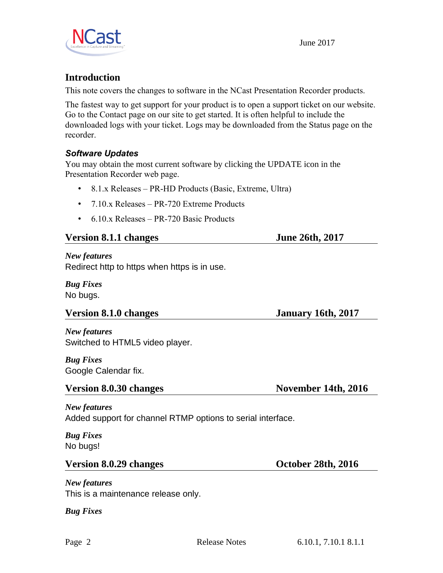

# **Introduction**

This note covers the changes to software in the NCast Presentation Recorder products.

The fastest way to get support for your product is to open a support ticket on our website. Go to the Contact page on our site to get started. It is often helpful to include the downloaded logs with your ticket. Logs may be downloaded from the Status page on the recorder.

### *Software Updates*

You may obtain the most current software by clicking the UPDATE icon in the Presentation Recorder web page.

- 8.1.x Releases PR-HD Products (Basic, Extreme, Ultra)
- 7.10.x Releases PR-720 Extreme Products
- 6.10.x Releases PR-720 Basic Products

#### **Version 8.1.1 changes** June 26th, 2017

#### *New features*

Redirect http to https when https is in use.

*Bug Fixes* No bugs.

### **Version 8.1.0 changes January 16th, 2017**

*New features* Switched to HTML5 video player.

*Bug Fixes* Google Calendar fix.

# **Version 8.0.30 changes** November 14th, 2016

*New features* Added support for channel RTMP options to serial interface.

*Bug Fixes* No bugs!

### Version 8.0.29 changes **October 28th, 2016**

*New features* This is a maintenance release only.

*Bug Fixes*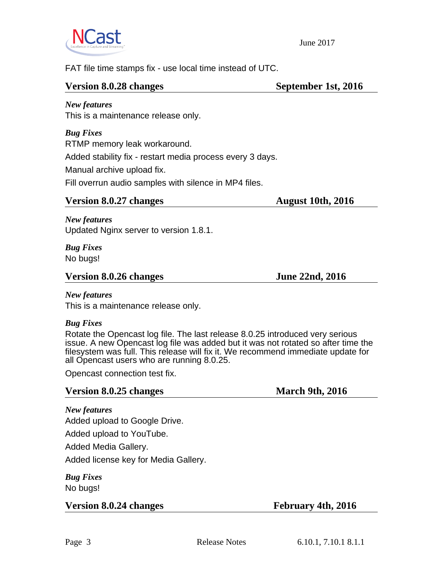

FAT file time stamps fix - use local time instead of UTC.

#### Version 8.0.28 changes September 1st, 2016

*New features* This is a maintenance release only.

*Bug Fixes* RTMP memory leak workaround. Added stability fix - restart media process every 3 days. Manual archive upload fix. Fill overrun audio samples with silence in MP4 files.

### **Version 8.0.27 changes** August 10th, 2016

*New features* Updated Nginx server to version 1.8.1.

*Bug Fixes* No bugs!

#### Version 8.0.26 changes June 22nd, 2016

#### *New features*

This is a maintenance release only.

### *Bug Fixes*

Rotate the Opencast log file. The last release 8.0.25 introduced very serious issue. A new Opencast log file was added but it was not rotated so after time the filesystem was full. This release will fix it. We recommend immediate update for all Opencast users who are running 8.0.25.

Opencast connection test fix.

# **Version 8.0.25 changes** March 9th, 2016

*New features* Added upload to Google Drive.

Added upload to YouTube.

Added Media Gallery.

Added license key for Media Gallery.

*Bug Fixes* No bugs!

**Version 8.0.24 changes February 4th, 2016**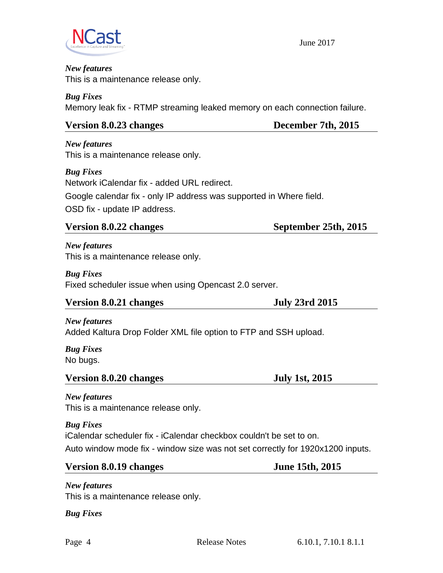

#### *New features* This is a maintenance release only.

*Bug Fixes* Memory leak fix - RTMP streaming leaked memory on each connection failure.

# **Version 8.0.23 changes December 7th, 2015**

*New features* This is a maintenance release only.

*Bug Fixes*

Network iCalendar fix - added URL redirect. Google calendar fix - only IP address was supported in Where field. OSD fix - update IP address.

# **Version 8.0.22 changes September 25th, 2015**

*New features* This is a maintenance release only.

*Bug Fixes* Fixed scheduler issue when using Opencast 2.0 server.

# **Version 8.0.21 changes July 23rd 2015**

*New features*

Added Kaltura Drop Folder XML file option to FTP and SSH upload.

*Bug Fixes* No bugs.

# **Version 8.0.20 changes July 1st, 2015**

*New features* This is a maintenance release only.

*Bug Fixes* iCalendar scheduler fix - iCalendar checkbox couldn't be set to on. Auto window mode fix - window size was not set correctly for 1920x1200 inputs.

# **Version 8.0.19 changes June 15th, 2015**

*New features* This is a maintenance release only.

*Bug Fixes*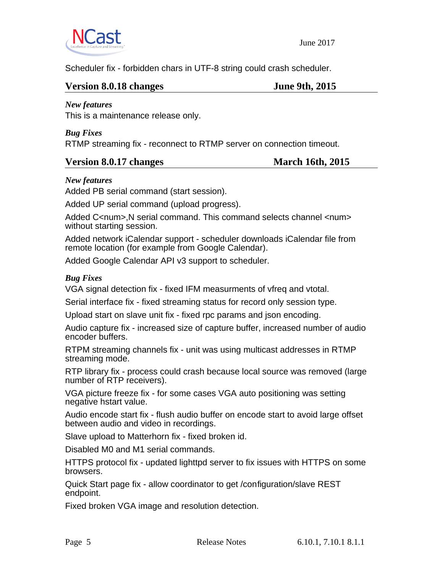

Scheduler fix - forbidden chars in UTF-8 string could crash scheduler.

#### **Version 8.0.18 changes June 9th, 2015**

#### *New features*

This is a maintenance release only.

#### *Bug Fixes*

RTMP streaming fix - reconnect to RTMP server on connection timeout.

### **Version 8.0.17 changes March 16th, 2015**

#### *New features*

Added PB serial command (start session).

Added UP serial command (upload progress).

Added C<num>,N serial command. This command selects channel <num> without starting session.

Added network iCalendar support - scheduler downloads iCalendar file from remote location (for example from Google Calendar).

Added Google Calendar API v3 support to scheduler.

#### *Bug Fixes*

VGA signal detection fix - fixed IFM measurments of vfreq and vtotal.

Serial interface fix - fixed streaming status for record only session type.

Upload start on slave unit fix - fixed rpc params and json encoding.

Audio capture fix - increased size of capture buffer, increased number of audio encoder buffers.

RTPM streaming channels fix - unit was using multicast addresses in RTMP streaming mode.

RTP library fix - process could crash because local source was removed (large number of RTP receivers).

VGA picture freeze fix - for some cases VGA auto positioning was setting negative hstart value.

Audio encode start fix - flush audio buffer on encode start to avoid large offset between audio and video in recordings.

Slave upload to Matterhorn fix - fixed broken id.

Disabled M0 and M1 serial commands.

HTTPS protocol fix - updated lighttpd server to fix issues with HTTPS on some browsers.

Quick Start page fix - allow coordinator to get /configuration/slave REST endpoint.

Fixed broken VGA image and resolution detection.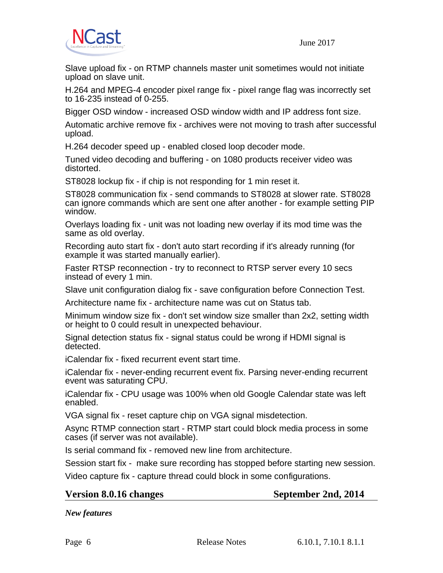

Slave upload fix - on RTMP channels master unit sometimes would not initiate upload on slave unit.

H.264 and MPEG-4 encoder pixel range fix - pixel range flag was incorrectly set to 16-235 instead of 0-255.

Bigger OSD window - increased OSD window width and IP address font size.

Automatic archive remove fix - archives were not moving to trash after successful upload.

H.264 decoder speed up - enabled closed loop decoder mode.

Tuned video decoding and buffering - on 1080 products receiver video was distorted.

ST8028 lockup fix - if chip is not responding for 1 min reset it.

ST8028 communication fix - send commands to ST8028 at slower rate. ST8028 can ignore commands which are sent one after another - for example setting PIP window.

Overlays loading fix - unit was not loading new overlay if its mod time was the same as old overlay.

Recording auto start fix - don't auto start recording if it's already running (for example it was started manually earlier).

Faster RTSP reconnection - try to reconnect to RTSP server every 10 secs instead of every 1 min.

Slave unit configuration dialog fix - save configuration before Connection Test.

Architecture name fix - architecture name was cut on Status tab.

Minimum window size fix - don't set window size smaller than 2x2, setting width or height to 0 could result in unexpected behaviour.

Signal detection status fix - signal status could be wrong if HDMI signal is detected.

iCalendar fix - fixed recurrent event start time.

iCalendar fix - never-ending recurrent event fix. Parsing never-ending recurrent event was saturating CPU.

iCalendar fix - CPU usage was 100% when old Google Calendar state was left enabled.

VGA signal fix - reset capture chip on VGA signal misdetection.

Async RTMP connection start - RTMP start could block media process in some cases (if server was not available).

Is serial command fix - removed new line from architecture.

Session start fix - make sure recording has stopped before starting new session.

Video capture fix - capture thread could block in some configurations.

#### **Version 8.0.16 changes September 2nd, 2014**

*New features*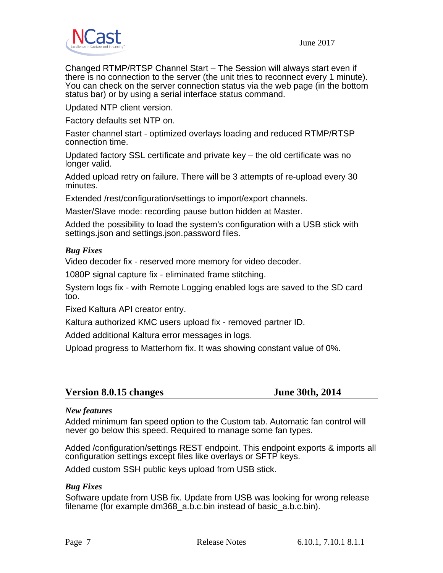

Changed RTMP/RTSP Channel Start – The Session will always start even if there is no connection to the server (the unit tries to reconnect every 1 minute). You can check on the server connection status via the web page (in the bottom status bar) or by using a serial interface status command.

Updated NTP client version.

Factory defaults set NTP on.

Faster channel start - optimized overlays loading and reduced RTMP/RTSP connection time.

Updated factory SSL certificate and private key – the old certificate was no longer valid.

Added upload retry on failure. There will be 3 attempts of re-upload every 30 minutes.

Extended /rest/configuration/settings to import/export channels.

Master/Slave mode: recording pause button hidden at Master.

Added the possibility to load the system's configuration with a USB stick with settings.json and settings.json.password files.

#### *Bug Fixes*

Video decoder fix - reserved more memory for video decoder.

1080P signal capture fix - eliminated frame stitching.

System logs fix - with Remote Logging enabled logs are saved to the SD card too.

Fixed Kaltura API creator entry.

Kaltura authorized KMC users upload fix - removed partner ID.

Added additional Kaltura error messages in logs.

Upload progress to Matterhorn fix. It was showing constant value of 0%.

### **Version 8.0.15 changes June 30th, 2014**

#### *New features*

Added minimum fan speed option to the Custom tab. Automatic fan control will never go below this speed. Required to manage some fan types.

Added /configuration/settings REST endpoint. This endpoint exports & imports all configuration settings except files like overlays or SFTP keys.

Added custom SSH public keys upload from USB stick.

#### *Bug Fixes*

Software update from USB fix. Update from USB was looking for wrong release filename (for example dm368\_a.b.c.bin instead of basic\_a.b.c.bin).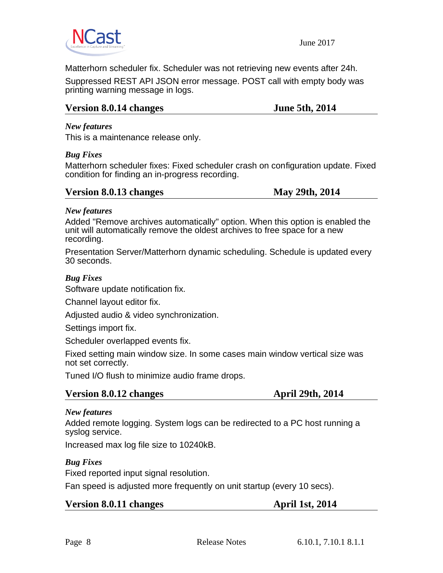

Matterhorn scheduler fix. Scheduler was not retrieving new events after 24h.

Suppressed REST API JSON error message. POST call with empty body was printing warning message in logs.

### **Version 8.0.14 changes June 5th, 2014**

#### *New features*

This is a maintenance release only.

#### *Bug Fixes*

Matterhorn scheduler fixes: Fixed scheduler crash on configuration update. Fixed condition for finding an in-progress recording.

#### **Version 8.0.13 changes May 29th, 2014**

#### *New features*

Added "Remove archives automatically" option. When this option is enabled the unit will automatically remove the oldest archives to free space for a new recording.

Presentation Server/Matterhorn dynamic scheduling. Schedule is updated every 30 seconds.

#### *Bug Fixes*

Software update notification fix.

Channel layout editor fix.

Adjusted audio & video synchronization.

Settings import fix.

Scheduler overlapped events fix.

Fixed setting main window size. In some cases main window vertical size was not set correctly.

Tuned I/O flush to minimize audio frame drops.

# **Version 8.0.12 changes April 29th, 2014**

#### *New features*

Added remote logging. System logs can be redirected to a PC host running a syslog service.

Increased max log file size to 10240kB.

### *Bug Fixes*

Fixed reported input signal resolution.

Fan speed is adjusted more frequently on unit startup (every 10 secs).

**Version 8.0.11 changes April 1st, 2014**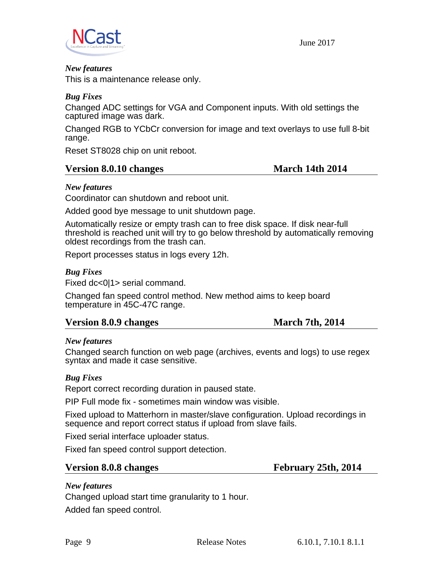

#### *New features*

This is a maintenance release only.

#### *Bug Fixes*

Changed ADC settings for VGA and Component inputs. With old settings the captured image was dark.

Changed RGB to YCbCr conversion for image and text overlays to use full 8-bit range.

Reset ST8028 chip on unit reboot.

#### **Version 8.0.10 changes March 14th 2014**

#### *New features*

Coordinator can shutdown and reboot unit.

Added good bye message to unit shutdown page.

Automatically resize or empty trash can to free disk space. If disk near-full threshold is reached unit will try to go below threshold by automatically removing oldest recordings from the trash can.

Report processes status in logs every 12h.

#### *Bug Fixes*

Fixed dc<0|1> serial command.

Changed fan speed control method. New method aims to keep board temperature in 45C-47C range.

### **Version 8.0.9 changes March 7th, 2014**

#### *New features*

Changed search function on web page (archives, events and logs) to use regex syntax and made it case sensitive.

#### *Bug Fixes*

Report correct recording duration in paused state.

PIP Full mode fix - sometimes main window was visible.

Fixed upload to Matterhorn in master/slave configuration. Upload recordings in sequence and report correct status if upload from slave fails.

Fixed serial interface uploader status.

Fixed fan speed control support detection.

#### **Version 8.0.8 changes February 25th, 2014**

### *New features*

Changed upload start time granularity to 1 hour.

Added fan speed control.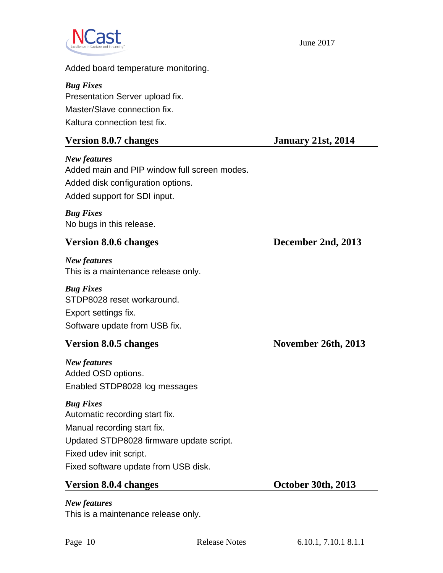

Added board temperature monitoring.

# *Bug Fixes* Presentation Server upload fix. Master/Slave connection fix.

Kaltura connection test fix.

# **Version 8.0.7 changes January 21st, 2014**

*New features* Added main and PIP window full screen modes. Added disk configuration options. Added support for SDI input.

*Bug Fixes* No bugs in this release.

# **Version 8.0.6 changes December 2nd, 2013**

*New features* This is a maintenance release only.

*Bug Fixes* STDP8028 reset workaround. Export settings fix. Software update from USB fix.

# **Version 8.0.5 changes November 26th, 2013**

*New features* Added OSD options. Enabled STDP8028 log messages

# *Bug Fixes*

Automatic recording start fix. Manual recording start fix. Updated STDP8028 firmware update script. Fixed udev init script. Fixed software update from USB disk.

# **Version 8.0.4 changes October 30th, 2013**

This is a maintenance release only.

*New features*

Page 10 Release Notes 6.10.1, 7.10.1 8.1.1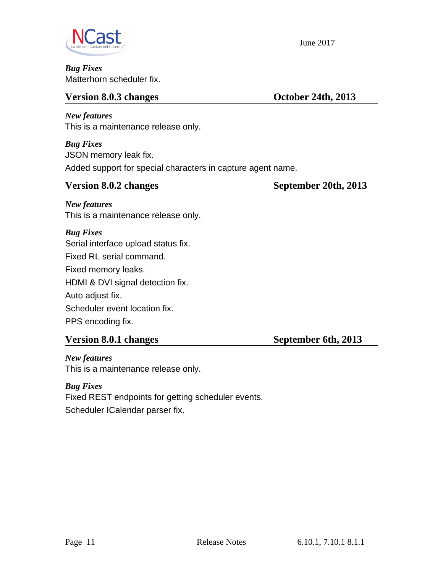

*Bug Fixes* Matterhorn scheduler fix.

# **Version 8.0.3 changes October 24th, 2013**

*New features* This is a maintenance release only.

*Bug Fixes* JSON memory leak fix. Added support for special characters in capture agent name.

# **Version 8.0.2 changes September 20th, 2013**

*New features* This is a maintenance release only.

*Bug Fixes* Serial interface upload status fix. Fixed RL serial command. Fixed memory leaks. HDMI & DVI signal detection fix. Auto adjust fix. Scheduler event location fix. PPS encoding fix.

# **Version 8.0.1 changes September 6th, 2013**

*New features* This is a maintenance release only.

*Bug Fixes* Fixed REST endpoints for getting scheduler events. Scheduler ICalendar parser fix.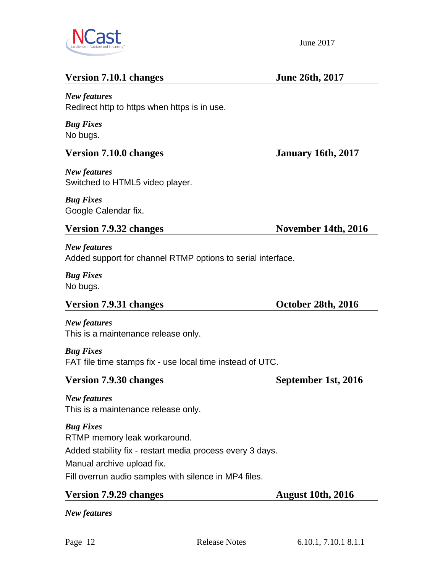

# **Version 7.10.1 changes** June 26th, 2017

### *New features*

Redirect http to https when https is in use.

*Bug Fixes* No bugs.

# **Version 7.10.0 changes January 16th, 2017**

*New features* Switched to HTML5 video player.

*Bug Fixes* Google Calendar fix.

# Version 7.9.32 changes November 14th, 2016

*New features* Added support for channel RTMP options to serial interface.

*Bug Fixes* No bugs.

# Version 7.9.31 changes **October 28th, 2016**

*New features* This is a maintenance release only.

*Bug Fixes* FAT file time stamps fix - use local time instead of UTC.

# Version 7.9.30 changes September 1st, 2016

*New features* This is a maintenance release only.

*Bug Fixes* RTMP memory leak workaround. Added stability fix - restart media process every 3 days. Manual archive upload fix. Fill overrun audio samples with silence in MP4 files.

# **Version 7.9.29 changes** August 10th, 2016

*New features*

June 2017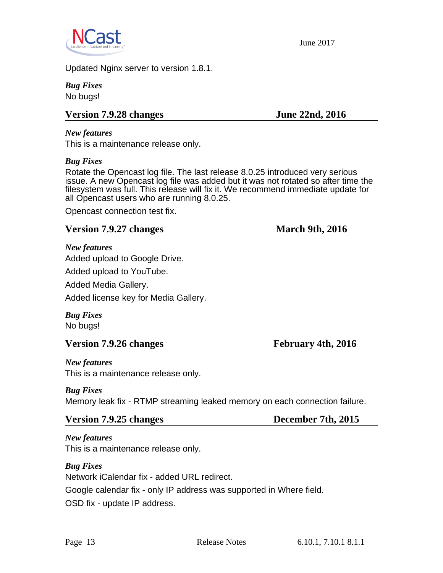

Updated Nginx server to version 1.8.1.

*Bug Fixes* No bugs!

# **Version 7.9.28 changes** June 22nd, 2016

*New features*

This is a maintenance release only.

#### *Bug Fixes*

Rotate the Opencast log file. The last release 8.0.25 introduced very serious issue. A new Opencast log file was added but it was not rotated so after time the filesystem was full. This release will fix it. We recommend immediate update for all Opencast users who are running 8.0.25.

Opencast connection test fix.

### **Version 7.9.27 changes** March 9th, 2016

*New features*

Added upload to Google Drive.

Added upload to YouTube.

Added Media Gallery.

Added license key for Media Gallery.

*Bug Fixes* No bugs!

# **Version 7.9.26 changes February 4th, 2016**

*New features* This is a maintenance release only.

# *Bug Fixes*

Memory leak fix - RTMP streaming leaked memory on each connection failure.

### **Version 7.9.25 changes December 7th, 2015**

*New features* This is a maintenance release only.

*Bug Fixes*

Network iCalendar fix - added URL redirect.

Google calendar fix - only IP address was supported in Where field.

OSD fix - update IP address.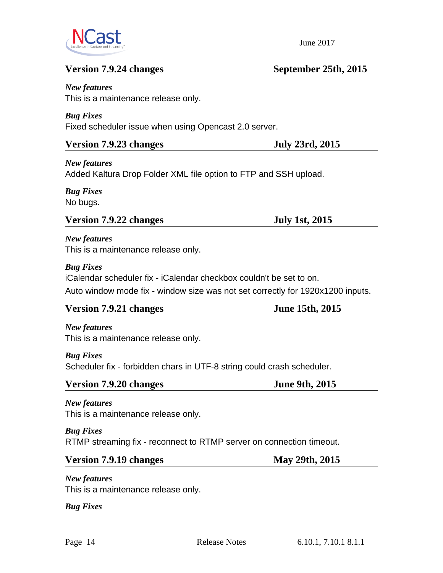

# **Version 7.9.24 changes September 25th, 2015**

*New features* This is a maintenance release only.

*Bug Fixes* Fixed scheduler issue when using Opencast 2.0 server.

### **Version 7.9.23 changes July 23rd, 2015**

*New features* Added Kaltura Drop Folder XML file option to FTP and SSH upload.

*Bug Fixes* No bugs.

# **Version 7.9.22 changes July 1st, 2015**

*New features* This is a maintenance release only.

#### *Bug Fixes*

iCalendar scheduler fix - iCalendar checkbox couldn't be set to on.

Auto window mode fix - window size was not set correctly for 1920x1200 inputs.

### **Version 7.9.21 changes June 15th, 2015**

*New features* This is a maintenance release only.

### *Bug Fixes*

Scheduler fix - forbidden chars in UTF-8 string could crash scheduler.

| Version 7.9.20 changes | <b>June 9th, 2015</b> |
|------------------------|-----------------------|
|                        |                       |

# *New features*

This is a maintenance release only.

### *Bug Fixes*

RTMP streaming fix - reconnect to RTMP server on connection timeout.

# **Version 7.9.19 changes May 29th, 2015**

*New features* This is a maintenance release only.

*Bug Fixes*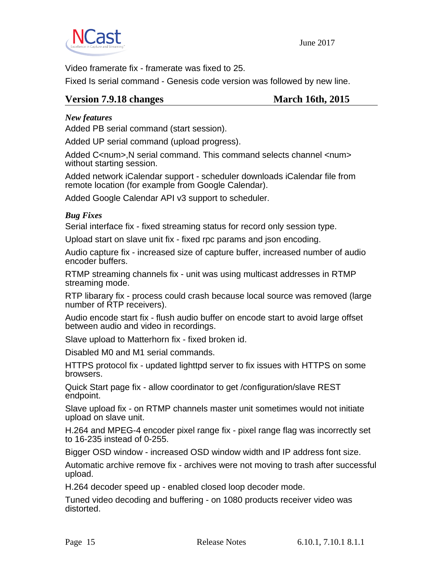

Video framerate fix - framerate was fixed to 25.

Fixed Is serial command - Genesis code version was followed by new line.

#### **Version 7.9.18 changes March 16th, 2015**

#### *New features*

Added PB serial command (start session).

Added UP serial command (upload progress).

Added C<num>, N serial command. This command selects channel <num> without starting session.

Added network iCalendar support - scheduler downloads iCalendar file from remote location (for example from Google Calendar).

Added Google Calendar API v3 support to scheduler.

#### *Bug Fixes*

Serial interface fix - fixed streaming status for record only session type.

Upload start on slave unit fix - fixed rpc params and json encoding.

Audio capture fix - increased size of capture buffer, increased number of audio encoder buffers.

RTMP streaming channels fix - unit was using multicast addresses in RTMP streaming mode.

RTP libarary fix - process could crash because local source was removed (large number of RTP receivers).

Audio encode start fix - flush audio buffer on encode start to avoid large offset between audio and video in recordings.

Slave upload to Matterhorn fix - fixed broken id.

Disabled M0 and M1 serial commands.

HTTPS protocol fix - updated lighttpd server to fix issues with HTTPS on some browsers.

Quick Start page fix - allow coordinator to get /configuration/slave REST endpoint.

Slave upload fix - on RTMP channels master unit sometimes would not initiate upload on slave unit.

H.264 and MPEG-4 encoder pixel range fix - pixel range flag was incorrectly set to 16-235 instead of 0-255.

Bigger OSD window - increased OSD window width and IP address font size.

Automatic archive remove fix - archives were not moving to trash after successful upload.

H.264 decoder speed up - enabled closed loop decoder mode.

Tuned video decoding and buffering - on 1080 products receiver video was distorted.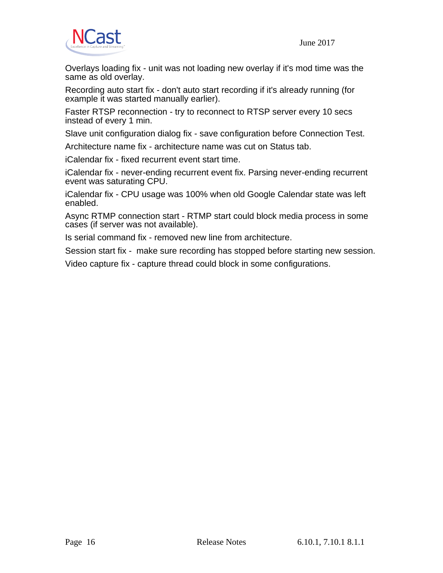

Overlays loading fix - unit was not loading new overlay if it's mod time was the same as old overlay.

Recording auto start fix - don't auto start recording if it's already running (for example it was started manually earlier).

Faster RTSP reconnection - try to reconnect to RTSP server every 10 secs instead of every 1 min.

Slave unit configuration dialog fix - save configuration before Connection Test.

Architecture name fix - architecture name was cut on Status tab.

iCalendar fix - fixed recurrent event start time.

iCalendar fix - never-ending recurrent event fix. Parsing never-ending recurrent event was saturating CPU.

iCalendar fix - CPU usage was 100% when old Google Calendar state was left enabled.

Async RTMP connection start - RTMP start could block media process in some cases (if server was not available).

Is serial command fix - removed new line from architecture.

Session start fix - make sure recording has stopped before starting new session.

Video capture fix - capture thread could block in some configurations.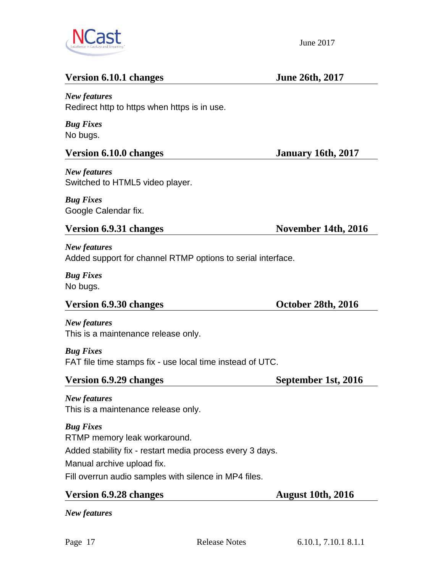

# **Version 6.10.1 changes** June 26th, 2017

### *New features*

Redirect http to https when https is in use.

*Bug Fixes* No bugs.

# **Version 6.10.0 changes January 16th, 2017**

*New features* Switched to HTML5 video player.

*Bug Fixes* Google Calendar fix.

### Version 6.9.31 changes November 14th, 2016

*New features* Added support for channel RTMP options to serial interface.

*Bug Fixes* No bugs.

*New features*

# Version 6.9.30 changes **October 28th, 2016**

This is a maintenance release only.

*Bug Fixes* FAT file time stamps fix - use local time instead of UTC.

### **Version 6.9.29 changes** September 1st, 2016

*New features* This is a maintenance release only.

*Bug Fixes*

RTMP memory leak workaround.

Added stability fix - restart media process every 3 days.

Manual archive upload fix.

Fill overrun audio samples with silence in MP4 files.

# **Version 6.9.28 changes** August 10th, 2016

*New features*

June 2017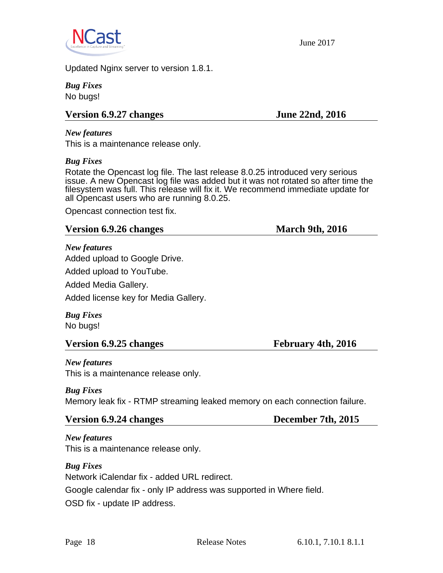

Updated Nginx server to version 1.8.1.

*Bug Fixes* No bugs!

# **Version 6.9.27 changes** June 22nd, 2016

*New features*

This is a maintenance release only.

#### *Bug Fixes*

Rotate the Opencast log file. The last release 8.0.25 introduced very serious issue. A new Opencast log file was added but it was not rotated so after time the filesystem was full. This release will fix it. We recommend immediate update for all Opencast users who are running 8.0.25.

Opencast connection test fix.

#### **Version 6.9.26 changes** March 9th, 2016

*New features*

Added upload to Google Drive.

Added upload to YouTube.

Added Media Gallery.

Added license key for Media Gallery.

*Bug Fixes* No bugs!

### **Version 6.9.25 changes February 4th, 2016**

*New features* This is a maintenance release only.

### *Bug Fixes*

Memory leak fix - RTMP streaming leaked memory on each connection failure.

#### **Version 6.9.24 changes December 7th, 2015**

*New features* This is a maintenance release only.

*Bug Fixes*

Network iCalendar fix - added URL redirect.

Google calendar fix - only IP address was supported in Where field.

OSD fix - update IP address.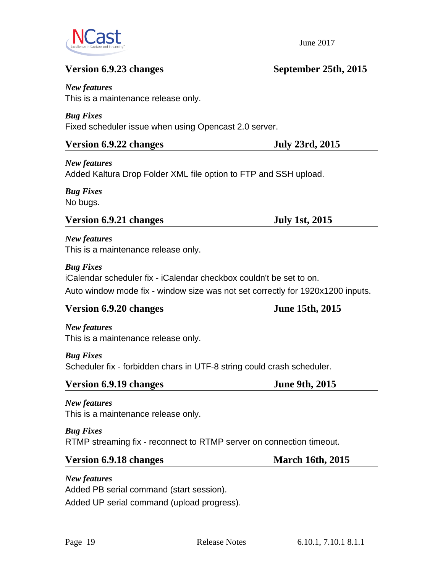

# **Version 6.9.23 changes September 25th, 2015**

*New features* This is a maintenance release only.

*Bug Fixes* Fixed scheduler issue when using Opencast 2.0 server.

### **Version 6.9.22 changes July 23rd, 2015**

*New features* Added Kaltura Drop Folder XML file option to FTP and SSH upload.

*Bug Fixes* No bugs.

# **Version 6.9.21 changes July 1st, 2015**

*New features* This is a maintenance release only.

### *Bug Fixes*

iCalendar scheduler fix - iCalendar checkbox couldn't be set to on.

Auto window mode fix - window size was not set correctly for 1920x1200 inputs.

### **Version 6.9.20 changes June 15th, 2015**

*New features* This is a maintenance release only.

### *Bug Fixes*

Scheduler fix - forbidden chars in UTF-8 string could crash scheduler.

# **Version 6.9.19 changes June 9th, 2015**

# *New features*

This is a maintenance release only.

### *Bug Fixes*

RTMP streaming fix - reconnect to RTMP server on connection timeout.

### **Version 6.9.18 changes March 16th, 2015**

*New features* Added PB serial command (start session). Added UP serial command (upload progress).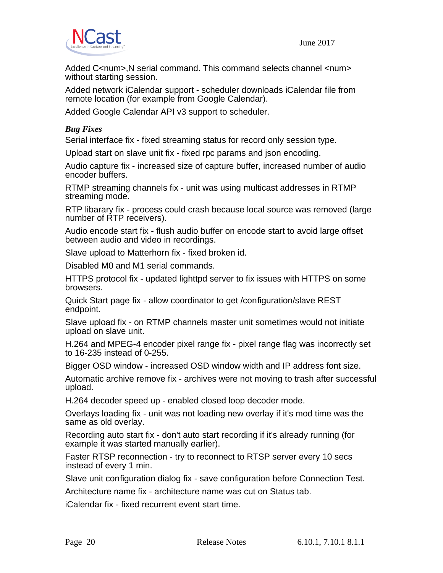Added C<num>, N serial command. This command selects channel <num> without starting session.

Added network iCalendar support - scheduler downloads iCalendar file from remote location (for example from Google Calendar).

Added Google Calendar API v3 support to scheduler.

### *Bug Fixes*

Serial interface fix - fixed streaming status for record only session type.

Upload start on slave unit fix - fixed rpc params and json encoding.

Audio capture fix - increased size of capture buffer, increased number of audio encoder buffers.

RTMP streaming channels fix - unit was using multicast addresses in RTMP streaming mode.

RTP libarary fix - process could crash because local source was removed (large number of RTP receivers).

Audio encode start fix - flush audio buffer on encode start to avoid large offset between audio and video in recordings.

Slave upload to Matterhorn fix - fixed broken id.

Disabled M0 and M1 serial commands.

HTTPS protocol fix - updated lighttpd server to fix issues with HTTPS on some browsers.

Quick Start page fix - allow coordinator to get /configuration/slave REST endpoint.

Slave upload fix - on RTMP channels master unit sometimes would not initiate upload on slave unit.

H.264 and MPEG-4 encoder pixel range fix - pixel range flag was incorrectly set to 16-235 instead of 0-255.

Bigger OSD window - increased OSD window width and IP address font size.

Automatic archive remove fix - archives were not moving to trash after successful upload.

H.264 decoder speed up - enabled closed loop decoder mode.

Overlays loading fix - unit was not loading new overlay if it's mod time was the same as old overlay.

Recording auto start fix - don't auto start recording if it's already running (for example it was started manually earlier).

Faster RTSP reconnection - try to reconnect to RTSP server every 10 secs instead of every 1 min.

Slave unit configuration dialog fix - save configuration before Connection Test.

Architecture name fix - architecture name was cut on Status tab.

iCalendar fix - fixed recurrent event start time.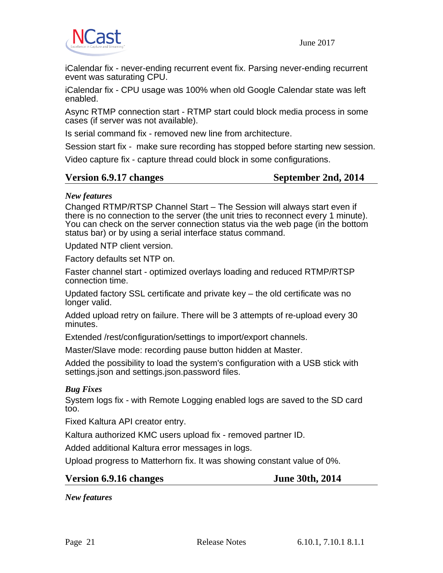



iCalendar fix - never-ending recurrent event fix. Parsing never-ending recurrent event was saturating CPU.

iCalendar fix - CPU usage was 100% when old Google Calendar state was left enabled.

Async RTMP connection start - RTMP start could block media process in some cases (if server was not available).

Is serial command fix - removed new line from architecture.

Session start fix - make sure recording has stopped before starting new session.

Video capture fix - capture thread could block in some configurations.

### **Version 6.9.17 changes September 2nd, 2014**

#### *New features*

Changed RTMP/RTSP Channel Start – The Session will always start even if there is no connection to the server (the unit tries to reconnect every 1 minute). You can check on the server connection status via the web page (in the bottom status bar) or by using a serial interface status command.

Updated NTP client version.

Factory defaults set NTP on.

Faster channel start - optimized overlays loading and reduced RTMP/RTSP connection time.

Updated factory SSL certificate and private key – the old certificate was no longer valid.

Added upload retry on failure. There will be 3 attempts of re-upload every 30 minutes.

Extended /rest/configuration/settings to import/export channels.

Master/Slave mode: recording pause button hidden at Master.

Added the possibility to load the system's configuration with a USB stick with settings.json and settings.json.password files.

#### *Bug Fixes*

System logs fix - with Remote Logging enabled logs are saved to the SD card too.

Fixed Kaltura API creator entry.

Kaltura authorized KMC users upload fix - removed partner ID.

Added additional Kaltura error messages in logs.

Upload progress to Matterhorn fix. It was showing constant value of 0%.

# **Version 6.9.16 changes June 30th, 2014**

*New features*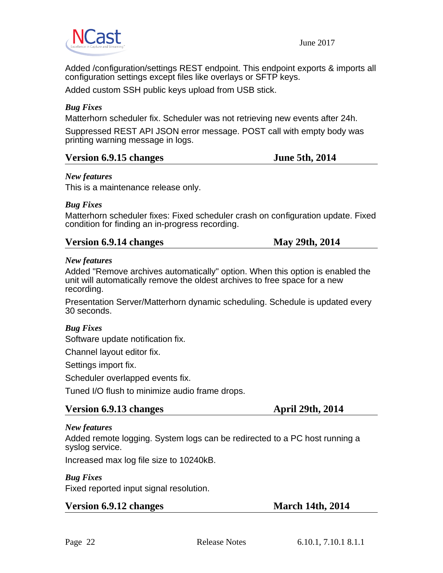

Added /configuration/settings REST endpoint. This endpoint exports & imports all configuration settings except files like overlays or SFTP keys.

Added custom SSH public keys upload from USB stick.

### *Bug Fixes*

Matterhorn scheduler fix. Scheduler was not retrieving new events after 24h.

Suppressed REST API JSON error message. POST call with empty body was printing warning message in logs.

#### **Version 6.9.15 changes June 5th, 2014**

#### *New features*

This is a maintenance release only.

#### *Bug Fixes*

Matterhorn scheduler fixes: Fixed scheduler crash on configuration update. Fixed condition for finding an in-progress recording.

### **Version 6.9.14 changes May 29th, 2014**

#### *New features*

Added "Remove archives automatically" option. When this option is enabled the unit will automatically remove the oldest archives to free space for a new recording.

Presentation Server/Matterhorn dynamic scheduling. Schedule is updated every 30 seconds.

### *Bug Fixes*

Software update notification fix.

Channel layout editor fix.

Settings import fix.

Scheduler overlapped events fix.

Tuned I/O flush to minimize audio frame drops.

#### **Version 6.9.13 changes April 29th, 2014**

#### *New features*

Added remote logging. System logs can be redirected to a PC host running a syslog service.

Increased max log file size to 10240kB.

#### *Bug Fixes*

Fixed reported input signal resolution.

### **Version 6.9.12 changes March 14th, 2014**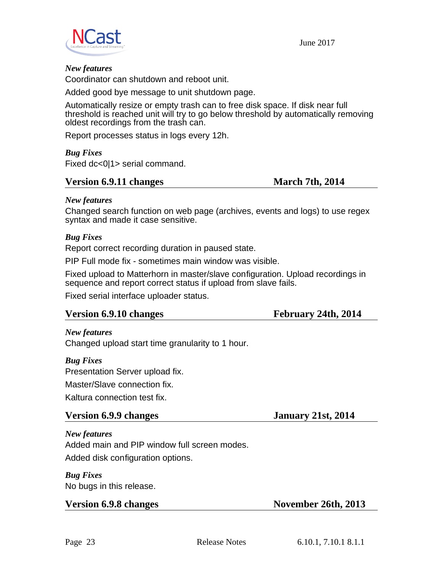



#### *New features*

Coordinator can shutdown and reboot unit.

Added good bye message to unit shutdown page.

Automatically resize or empty trash can to free disk space. If disk near full threshold is reached unit will try to go below threshold by automatically removing oldest recordings from the trash can.

Report processes status in logs every 12h.

*Bug Fixes* Fixed dc<0|1> serial command.

#### **Version 6.9.11 changes March 7th, 2014**

#### *New features*

Changed search function on web page (archives, events and logs) to use regex syntax and made it case sensitive.

#### *Bug Fixes*

Report correct recording duration in paused state.

PIP Full mode fix - sometimes main window was visible.

Fixed upload to Matterhorn in master/slave configuration. Upload recordings in sequence and report correct status if upload from slave fails.

Fixed serial interface uploader status.

#### **Version 6.9.10 changes February 24th, 2014**

#### *New features*

Changed upload start time granularity to 1 hour.

#### *Bug Fixes*

Presentation Server upload fix.

Master/Slave connection fix.

Kaltura connection test fix.

#### **Version 6.9.9 changes January 21st, 2014**

# *New features*

Added main and PIP window full screen modes.

Added disk configuration options.

*Bug Fixes* No bugs in this release.

**Version 6.9.8 changes November 26th, 2013**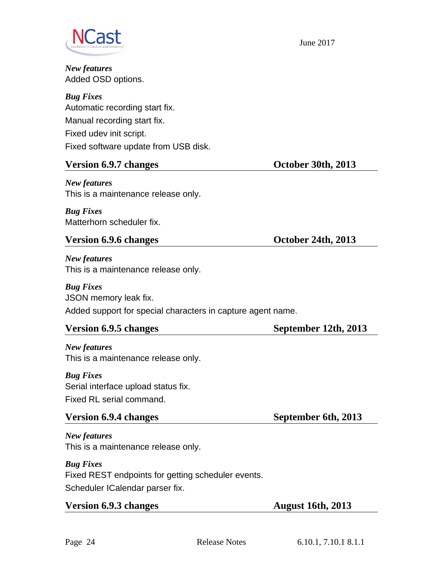

*New features* Added OSD options.

*Bug Fixes* Automatic recording start fix. Manual recording start fix. Fixed udev init script. Fixed software update from USB disk.

# **Version 6.9.7 changes October 30th, 2013**

*New features* This is a maintenance release only.

*Bug Fixes* Matterhorn scheduler fix.

# **Version 6.9.6 changes October 24th, 2013**

*New features* This is a maintenance release only.

*Bug Fixes* JSON memory leak fix. Added support for special characters in capture agent name.

# **Version 6.9.5 changes September 12th, 2013**

*New features* This is a maintenance release only.

*Bug Fixes* Serial interface upload status fix. Fixed RL serial command.

# **Version 6.9.4 changes September 6th, 2013**

*New features* This is a maintenance release only.

*Bug Fixes* Fixed REST endpoints for getting scheduler events. Scheduler ICalendar parser fix.

# **Version 6.9.3 changes August 16th, 2013**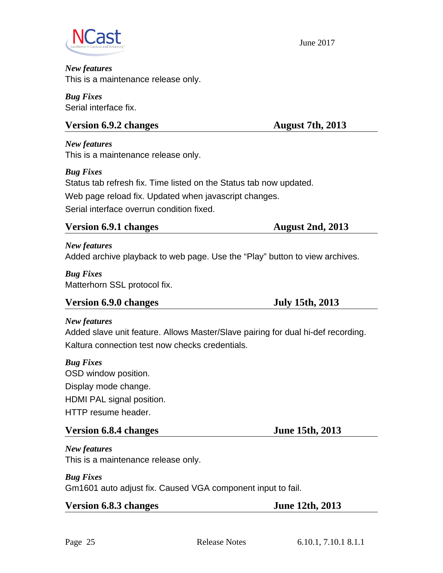![](_page_24_Picture_0.jpeg)

#### *New features* This is a maintenance release only.

*Bug Fixes* Serial interface fix.

# **Version 6.9.2 changes August 7th, 2013**

*New features* This is a maintenance release only.

*Bug Fixes* Status tab refresh fix. Time listed on the Status tab now updated. Web page reload fix. Updated when javascript changes. Serial interface overrun condition fixed.

# **Version 6.9.1 changes August 2nd, 2013**

*New features* Added archive playback to web page. Use the "Play" button to view archives.

*Bug Fixes* Matterhorn SSL protocol fix.

# **Version 6.9.0 changes July 15th, 2013**

# *New features*

Added slave unit feature. Allows Master/Slave pairing for dual hi-def recording. Kaltura connection test now checks credentials.

# *Bug Fixes*

OSD window position. Display mode change. HDMI PAL signal position. HTTP resume header.

# **Version 6.8.4 changes June 15th, 2013**

*New features* This is a maintenance release only.

# *Bug Fixes*

Gm1601 auto adjust fix. Caused VGA component input to fail.

|  |  | <b>Version 6.8.3 changes</b> |
|--|--|------------------------------|
|--|--|------------------------------|

**June 12th, 2013**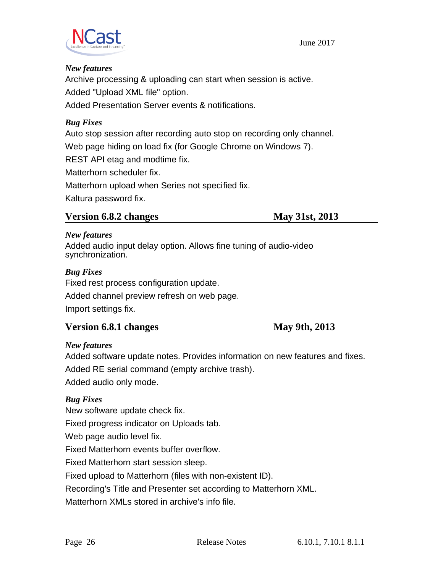![](_page_25_Picture_0.jpeg)

#### *New features*

Archive processing & uploading can start when session is active. Added "Upload XML file" option.

Added Presentation Server events & notifications.

### *Bug Fixes*

Auto stop session after recording auto stop on recording only channel. Web page hiding on load fix (for Google Chrome on Windows 7). REST API etag and modtime fix. Matterhorn scheduler fix. Matterhorn upload when Series not specified fix. Kaltura password fix.

### **Version 6.8.2 changes May 31st, 2013**

#### *New features*

Added audio input delay option. Allows fine tuning of audio-video synchronization.

### *Bug Fixes*

Fixed rest process configuration update.

Added channel preview refresh on web page.

Import settings fix.

# **Version 6.8.1 changes May 9th, 2013**

### *New features*

Added software update notes. Provides information on new features and fixes.

Added RE serial command (empty archive trash).

Added audio only mode.

# *Bug Fixes*

New software update check fix.

Fixed progress indicator on Uploads tab.

Web page audio level fix.

Fixed Matterhorn events buffer overflow.

Fixed Matterhorn start session sleep.

Fixed upload to Matterhorn (files with non-existent ID).

Recording's Title and Presenter set according to Matterhorn XML.

Matterhorn XMLs stored in archive's info file.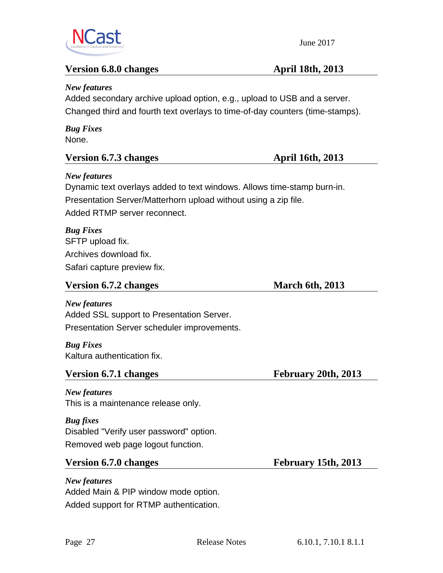![](_page_26_Picture_0.jpeg)

*New features*

# **Version 6.8.0 changes April 18th, 2013**

Added secondary archive upload option, e.g., upload to USB and a server. Changed third and fourth text overlays to time-of-day counters (time-stamps). *Bug Fixes* None. **Version 6.7.3 changes April 16th, 2013** *New features*

Dynamic text overlays added to text windows. Allows time-stamp burn-in. Presentation Server/Matterhorn upload without using a zip file. Added RTMP server reconnect.

*Bug Fixes* SFTP upload fix. Archives download fix. Safari capture preview fix.

### **Version 6.7.2 changes March 6th, 2013**

*New features* Added SSL support to Presentation Server. Presentation Server scheduler improvements.

*Bug Fixes* Kaltura authentication fix.

# **Version 6.7.1 changes February 20th, 2013**

*New features*

This is a maintenance release only.

*Bug fixes* Disabled "Verify user password" option. Removed web page logout function.

# **Version 6.7.0 changes February 15th, 2013**

*New features* Added Main & PIP window mode option. Added support for RTMP authentication.

![](_page_26_Picture_18.jpeg)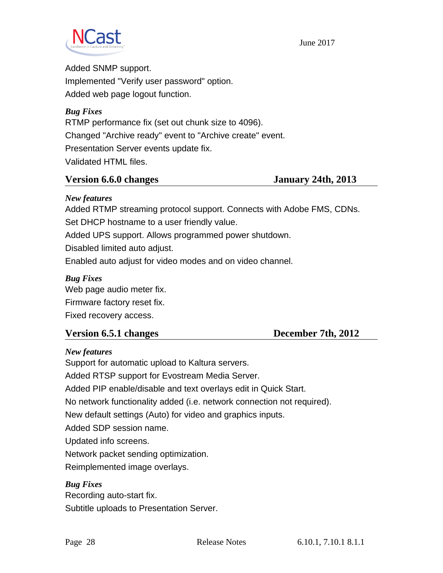![](_page_27_Picture_0.jpeg)

Added SNMP support. Implemented "Verify user password" option. Added web page logout function.

*Bug Fixes* RTMP performance fix (set out chunk size to 4096). Changed "Archive ready" event to "Archive create" event. Presentation Server events update fix. Validated HTML files.

### **Version 6.6.0 changes January 24th, 2013**

### *New features*

Added RTMP streaming protocol support. Connects with Adobe FMS, CDNs. Set DHCP hostname to a user friendly value.

Added UPS support. Allows programmed power shutdown.

Disabled limited auto adjust.

Enabled auto adjust for video modes and on video channel.

### *Bug Fixes*

Web page audio meter fix. Firmware factory reset fix. Fixed recovery access.

# **Version 6.5.1 changes December 7th, 2012**

### *New features*

Support for automatic upload to Kaltura servers. Added RTSP support for Evostream Media Server. Added PIP enable/disable and text overlays edit in Quick Start. No network functionality added (i.e. network connection not required). New default settings (Auto) for video and graphics inputs. Added SDP session name. Updated info screens. Network packet sending optimization. Reimplemented image overlays. *Bug Fixes*

Recording auto-start fix. Subtitle uploads to Presentation Server.